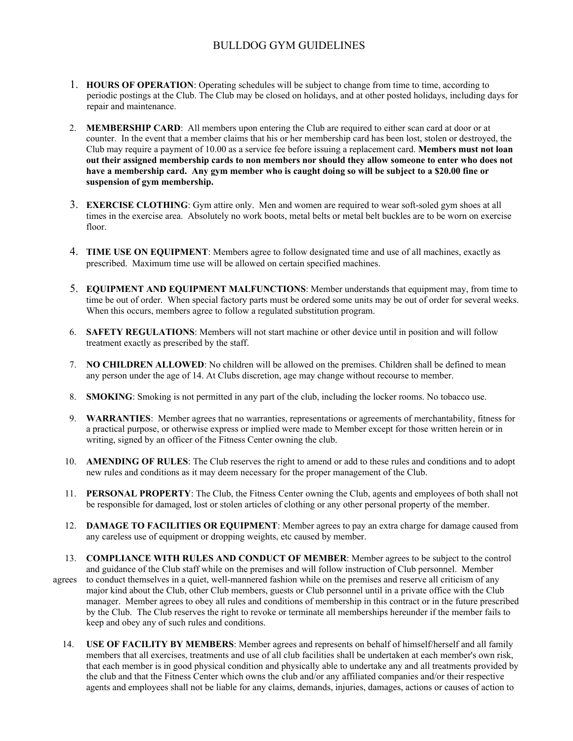## BULLDOG GYM GUIDELINES

- 1. **HOURS OF OPERATION**: Operating schedules will be subject to change from time to time, according to periodic postings at the Club. The Club may be closed on holidays, and at other posted holidays, including days for repair and maintenance.
- 2. **MEMBERSHIP CARD**: All members upon entering the Club are required to either scan card at door or at counter. In the event that a member claims that his or her membership card has been lost, stolen or destroyed, the Club may require a payment of 10.00 as a service fee before issuing a replacement card. **Members must not loan out their assigned membership cards to non members nor should they allow someone to enter who does not have a membership card. Any gym member who is caught doing so will be subject to a \$20.00 fine or suspension of gym membership.**
- 3. **EXERCISE CLOTHING**: Gym attire only. Men and women are required to wear soft-soled gym shoes at all times in the exercise area. Absolutely no work boots, metal belts or metal belt buckles are to be worn on exercise floor.
- 4. **TIME USE ON EQUIPMENT**: Members agree to follow designated time and use of all machines, exactly as prescribed. Maximum time use will be allowed on certain specified machines.
- 5. **EQUIPMENT AND EQUIPMENT MALFUNCTIONS**: Member understands that equipment may, from time to time be out of order. When special factory parts must be ordered some units may be out of order for several weeks. When this occurs, members agree to follow a regulated substitution program.
- 6. **SAFETY REGULATIONS**: Members will not start machine or other device until in position and will follow treatment exactly as prescribed by the staff.
- 7. **NO CHILDREN ALLOWED**: No children will be allowed on the premises. Children shall be defined to mean any person under the age of 14. At Clubs discretion, age may change without recourse to member.
- 8. **SMOKING**: Smoking is not permitted in any part of the club, including the locker rooms. No tobacco use.
- 9. **WARRANTIES**: Member agrees that no warranties, representations or agreements of merchantability, fitness for a practical purpose, or otherwise express or implied were made to Member except for those written herein or in writing, signed by an officer of the Fitness Center owning the club.
- 10. **AMENDING OF RULES**: The Club reserves the right to amend or add to these rules and conditions and to adopt new rules and conditions as it may deem necessary for the proper management of the Club.
- 11. **PERSONAL PROPERTY**: The Club, the Fitness Center owning the Club, agents and employees of both shall not be responsible for damaged, lost or stolen articles of clothing or any other personal property of the member.
- 12. **DAMAGE TO FACILITIES OR EQUIPMENT**: Member agrees to pay an extra charge for damage caused from any careless use of equipment or dropping weights, etc caused by member.
- 13. **COMPLIANCE WITH RULES AND CONDUCT OF MEMBER**: Member agrees to be subject to the control and guidance of the Club staff while on the premises and will follow instruction of Club personnel. Member agrees to conduct themselves in a quiet, well-mannered fashion while on the premises and reserve all criticism of any major kind about the Club, other Club members, guests or Club personnel until in a private office with the Club manager. Member agrees to obey all rules and conditions of membership in this contract or in the future prescribed by the Club. The Club reserves the right to revoke or terminate all memberships hereunder if the member fails to keep and obey any of such rules and conditions.
	- 14. **USE OF FACILITY BY MEMBERS**: Member agrees and represents on behalf of himself/herself and all family members that all exercises, treatments and use of all club facilities shall be undertaken at each member's own risk, that each member is in good physical condition and physically able to undertake any and all treatments provided by the club and that the Fitness Center which owns the club and/or any affiliated companies and/or their respective agents and employees shall not be liable for any claims, demands, injuries, damages, actions or causes of action to